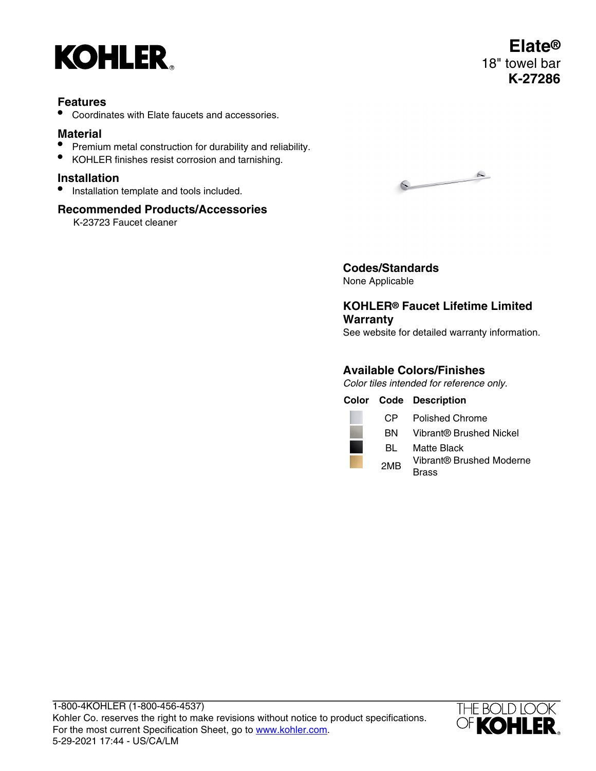

## **Features**

• Coordinates with Elate faucets and accessories.

# **Material**

- Premium metal construction for durability and reliability.
- KOHLER finishes resist corrosion and tarnishing.

### **Installation**

• Installation template and tools included.

## **Recommended Products/Accessories**

K-23723 Faucet cleaner



**Codes/Standards** None Applicable

# **KOHLER® Faucet Lifetime Limited Warranty**

See website for detailed warranty information.

## **Available Colors/Finishes**

Color tiles intended for reference only.

**Color Code Description** CP Polished Chrome BN Vibrant® Brushed Nickel BL Matte Black 2MB Vibrant® Brushed Moderne **Brass**